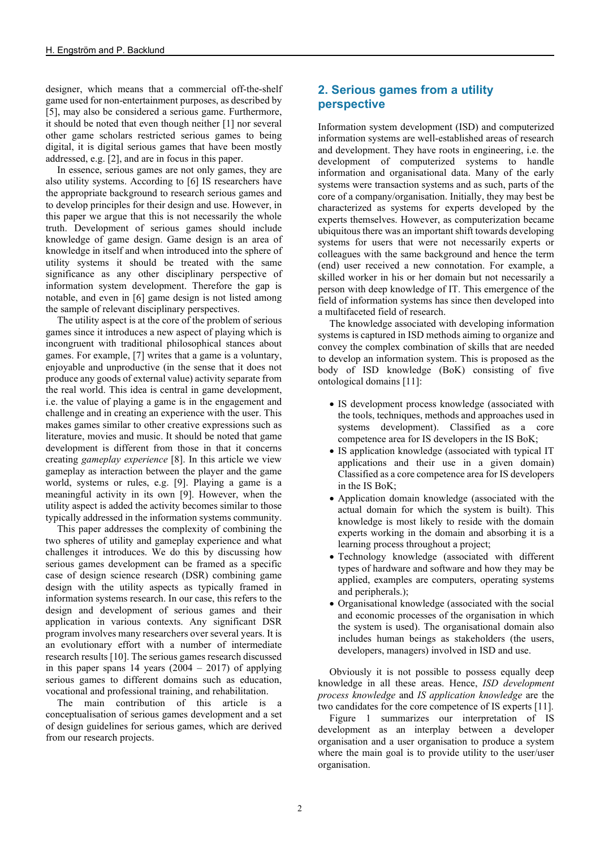designer, which means that a commercial off-the-shelf game used for non-entertainment purposes, as described by [5], may also be considered a serious game. Furthermore, it should be noted that even though neither [1] nor several other game scholars restricted serious games to being digital, it is digital serious games that have been mostly addressed, e.g. [2], and are in focus in this paper.

In essence, serious games are not only games, they are also utility systems. According to [6] IS researchers have the appropriate background to research serious games and to develop principles for their design and use. However, in this paper we argue that this is not necessarily the whole truth. Development of serious games should include knowledge of game design. Game design is an area of knowledge in itself and when introduced into the sphere of utility systems it should be treated with the same significance as any other disciplinary perspective of information system development. Therefore the gap is notable, and even in [6] game design is not listed among the sample of relevant disciplinary perspectives.

The utility aspect is at the core of the problem of serious games since it introduces a new aspect of playing which is incongruent with traditional philosophical stances about games. For example, [7] writes that a game is a voluntary, enjoyable and unproductive (in the sense that it does not produce any goods of external value) activity separate from the real world. This idea is central in game development, i.e. the value of playing a game is in the engagement and challenge and in creating an experience with the user. This makes games similar to other creative expressions such as literature, movies and music. It should be noted that game development is different from those in that it concerns creating *gameplay experience* [8]. In this article we view gameplay as interaction between the player and the game world, systems or rules, e.g. [9]. Playing a game is a meaningful activity in its own [9]. However, when the utility aspect is added the activity becomes similar to those typically addressed in the information systems community.

This paper addresses the complexity of combining the two spheres of utility and gameplay experience and what challenges it introduces. We do this by discussing how serious games development can be framed as a specific case of design science research (DSR) combining game design with the utility aspects as typically framed in information systems research. In our case, this refers to the design and development of serious games and their application in various contexts. Any significant DSR program involves many researchers over several years. It is an evolutionary effort with a number of intermediate research results [10]. The serious games research discussed in this paper spans 14 years  $(2004 - 2017)$  of applying serious games to different domains such as education, vocational and professional training, and rehabilitation.

The main contribution of this article is a conceptualisation of serious games development and a set of design guidelines for serious games, which are derived from our research projects.

# **2. Serious games from a utility perspective**

Information system development (ISD) and computerized information systems are well-established areas of research and development. They have roots in engineering, i.e. the development of computerized systems to handle information and organisational data. Many of the early systems were transaction systems and as such, parts of the core of a company/organisation. Initially, they may best be characterized as systems for experts developed by the experts themselves. However, as computerization became ubiquitous there was an important shift towards developing systems for users that were not necessarily experts or colleagues with the same background and hence the term (end) user received a new connotation. For example, a skilled worker in his or her domain but not necessarily a person with deep knowledge of IT. This emergence of the field of information systems has since then developed into a multifaceted field of research.

The knowledge associated with developing information systems is captured in ISD methods aiming to organize and convey the complex combination of skills that are needed to develop an information system. This is proposed as the body of ISD knowledge (BoK) consisting of five ontological domains [11]:

- IS development process knowledge (associated with the tools, techniques, methods and approaches used in systems development). Classified as a core competence area for IS developers in the IS BoK;
- IS application knowledge (associated with typical IT applications and their use in a given domain) Classified as a core competence area for IS developers in the IS BoK;
- Application domain knowledge (associated with the actual domain for which the system is built). This knowledge is most likely to reside with the domain experts working in the domain and absorbing it is a learning process throughout a project;
- Technology knowledge (associated with different types of hardware and software and how they may be applied, examples are computers, operating systems and peripherals.);
- Organisational knowledge (associated with the social and economic processes of the organisation in which the system is used). The organisational domain also includes human beings as stakeholders (the users, developers, managers) involved in ISD and use.

Obviously it is not possible to possess equally deep knowledge in all these areas. Hence, *ISD development process knowledge* and *IS application knowledge* are the two candidates for the core competence of IS experts [11].

Figure 1 summarizes our interpretation of IS development as an interplay between a developer organisation and a user organisation to produce a system where the main goal is to provide utility to the user/user organisation.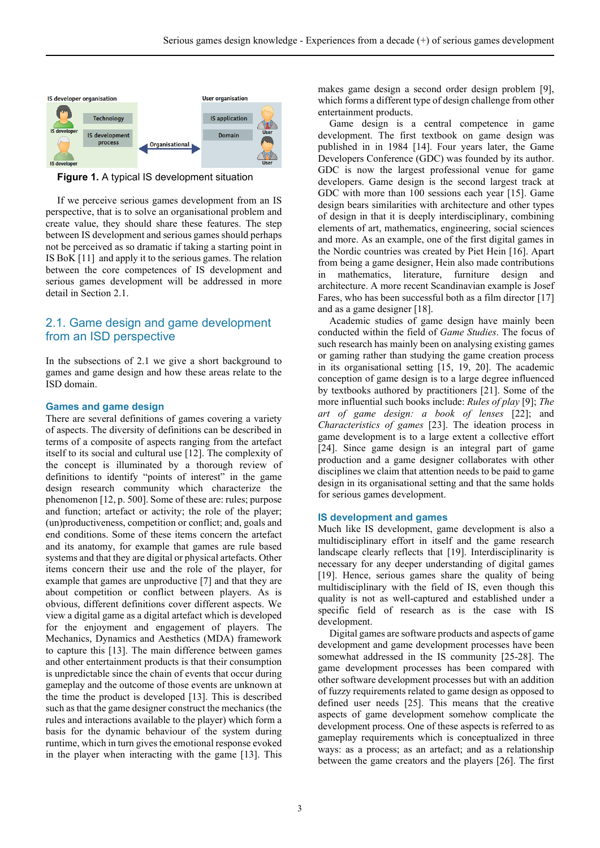

**Figure 1.** A typical IS development situation

If we perceive serious games development from an IS perspective, that is to solve an organisational problem and create value, they should share these features. The step between IS development and serious games should perhaps not be perceived as so dramatic if taking a starting point in IS BoK [11] and apply it to the serious games. The relation between the core competences of IS development and serious games development will be addressed in more detail in Section 2.1.

# 2.1. Game design and game development from an ISD perspective

In the subsections of 2.1 we give a short background to games and game design and how these areas relate to the ISD domain.

#### **Games and game design**

There are several definitions of games covering a variety of aspects. The diversity of definitions can be described in terms of a composite of aspects ranging from the artefact itself to its social and cultural use [12]. The complexity of the concept is illuminated by a thorough review of definitions to identify "points of interest" in the game design research community which characterize the phenomenon [12, p. 500]. Some of these are: rules; purpose and function; artefact or activity; the role of the player; (un)productiveness, competition or conflict; and, goals and end conditions. Some of these items concern the artefact and its anatomy, for example that games are rule based systems and that they are digital or physical artefacts. Other items concern their use and the role of the player, for example that games are unproductive [7] and that they are about competition or conflict between players. As is obvious, different definitions cover different aspects. We view a digital game as a digital artefact which is developed for the enjoyment and engagement of players. The Mechanics, Dynamics and Aesthetics (MDA) framework to capture this [13]. The main difference between games and other entertainment products is that their consumption is unpredictable since the chain of events that occur during gameplay and the outcome of those events are unknown at the time the product is developed [13]. This is described such as that the game designer construct the mechanics (the rules and interactions available to the player) which form a basis for the dynamic behaviour of the system during runtime, which in turn gives the emotional response evoked in the player when interacting with the game [13]. This

makes game design a second order design problem [9], which forms a different type of design challenge from other entertainment products.

Game design is a central competence in game development. The first textbook on game design was published in in 1984 [14]. Four years later, the Game Developers Conference (GDC) was founded by its author. GDC is now the largest professional venue for game developers. Game design is the second largest track at GDC with more than 100 sessions each year [15]. Game design bears similarities with architecture and other types of design in that it is deeply interdisciplinary, combining elements of art, mathematics, engineering, social sciences and more. As an example, one of the first digital games in the Nordic countries was created by Piet Hein [16]. Apart from being a game designer, Hein also made contributions in mathematics, literature, furniture design and architecture. A more recent Scandinavian example is Josef Fares, who has been successful both as a film director [17] and as a game designer [18].

Academic studies of game design have mainly been conducted within the field of *Game Studies*. The focus of such research has mainly been on analysing existing games or gaming rather than studying the game creation process in its organisational setting [15, 19, 20]. The academic conception of game design is to a large degree influenced by textbooks authored by practitioners [21]. Some of the more influential such books include: *Rules of play* [9]; *The art of game design: a book of lenses* [22]; and *Characteristics of games* [23]. The ideation process in game development is to a large extent a collective effort [24]. Since game design is an integral part of game production and a game designer collaborates with other disciplines we claim that attention needs to be paid to game design in its organisational setting and that the same holds for serious games development.

#### **IS development and games**

Much like IS development, game development is also a multidisciplinary effort in itself and the game research landscape clearly reflects that [19]. Interdisciplinarity is necessary for any deeper understanding of digital games [19]. Hence, serious games share the quality of being multidisciplinary with the field of IS, even though this quality is not as well-captured and established under a specific field of research as is the case with IS development.

Digital games are software products and aspects of game development and game development processes have been somewhat addressed in the IS community [25-28]. The game development processes has been compared with other software development processes but with an addition of fuzzy requirements related to game design as opposed to defined user needs [25]. This means that the creative aspects of game development somehow complicate the development process. One of these aspects is referred to as gameplay requirements which is conceptualized in three ways: as a process; as an artefact; and as a relationship between the game creators and the players [26]. The first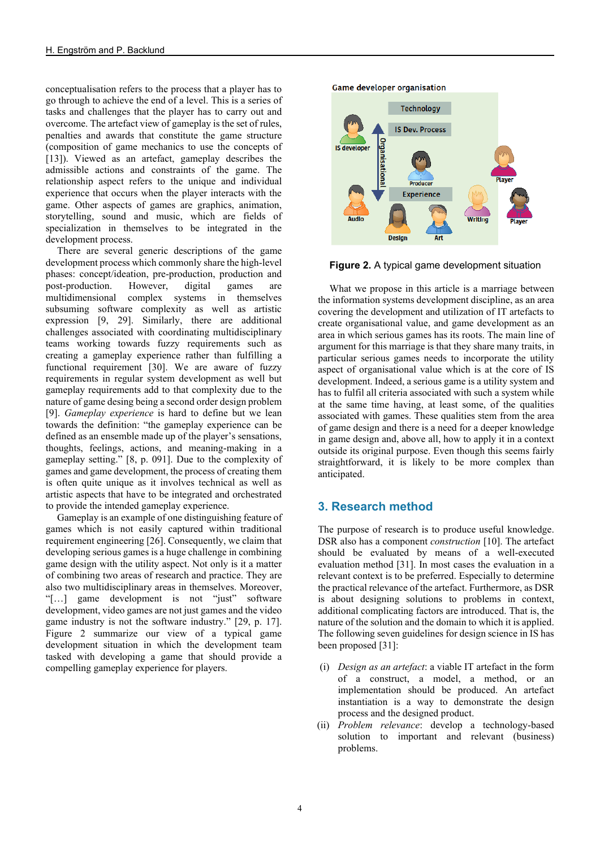conceptualisation refers to the process that a player has to go through to achieve the end of a level. This is a series of tasks and challenges that the player has to carry out and overcome. The artefact view of gameplay is the set of rules, penalties and awards that constitute the game structure (composition of game mechanics to use the concepts of [13]). Viewed as an artefact, gameplay describes the admissible actions and constraints of the game. The relationship aspect refers to the unique and individual experience that occurs when the player interacts with the game. Other aspects of games are graphics, animation, storytelling, sound and music, which are fields of specialization in themselves to be integrated in the development process.

There are several generic descriptions of the game development process which commonly share the high-level phases: concept/ideation, pre-production, production and post-production. However, digital games are post-production. However, digital games are multidimensional complex systems in themselves subsuming software complexity as well as artistic expression [9, 29]. Similarly, there are additional challenges associated with coordinating multidisciplinary teams working towards fuzzy requirements such as creating a gameplay experience rather than fulfilling a functional requirement [30]. We are aware of fuzzy requirements in regular system development as well but gameplay requirements add to that complexity due to the nature of game desing being a second order design problem [9]. *Gameplay experience* is hard to define but we lean towards the definition: "the gameplay experience can be defined as an ensemble made up of the player's sensations, thoughts, feelings, actions, and meaning-making in a gameplay setting." [8, p. 091]. Due to the complexity of games and game development, the process of creating them is often quite unique as it involves technical as well as artistic aspects that have to be integrated and orchestrated to provide the intended gameplay experience.

Gameplay is an example of one distinguishing feature of games which is not easily captured within traditional requirement engineering [26]. Consequently, we claim that developing serious games is a huge challenge in combining game design with the utility aspect. Not only is it a matter of combining two areas of research and practice. They are also two multidisciplinary areas in themselves. Moreover, "[…] game development is not "just" software development, video games are not just games and the video game industry is not the software industry." [29, p. 17]. Figure 2 summarize our view of a typical game development situation in which the development team tasked with developing a game that should provide a compelling gameplay experience for players.



**Figure 2.** A typical game development situation

**Design** 

What we propose in this article is a marriage between the information systems development discipline, as an area covering the development and utilization of IT artefacts to create organisational value, and game development as an area in which serious games has its roots. The main line of argument for this marriage is that they share many traits, in particular serious games needs to incorporate the utility aspect of organisational value which is at the core of IS development. Indeed, a serious game is a utility system and has to fulfil all criteria associated with such a system while at the same time having, at least some, of the qualities associated with games. These qualities stem from the area of game design and there is a need for a deeper knowledge in game design and, above all, how to apply it in a context outside its original purpose. Even though this seems fairly straightforward, it is likely to be more complex than anticipated.

#### **3. Research method**

The purpose of research is to produce useful knowledge. DSR also has a component *construction* [10]. The artefact should be evaluated by means of a well-executed evaluation method [31]. In most cases the evaluation in a relevant context is to be preferred. Especially to determine the practical relevance of the artefact. Furthermore, as DSR is about designing solutions to problems in context, additional complicating factors are introduced. That is, the nature of the solution and the domain to which it is applied. The following seven guidelines for design science in IS has been proposed [31]:

- (i) *Design as an artefact*: a viable IT artefact in the form of a construct, a model, a method, or an implementation should be produced. An artefact instantiation is a way to demonstrate the design process and the designed product.
- (ii) *Problem relevance*: develop a technology-based solution to important and relevant (business) problems.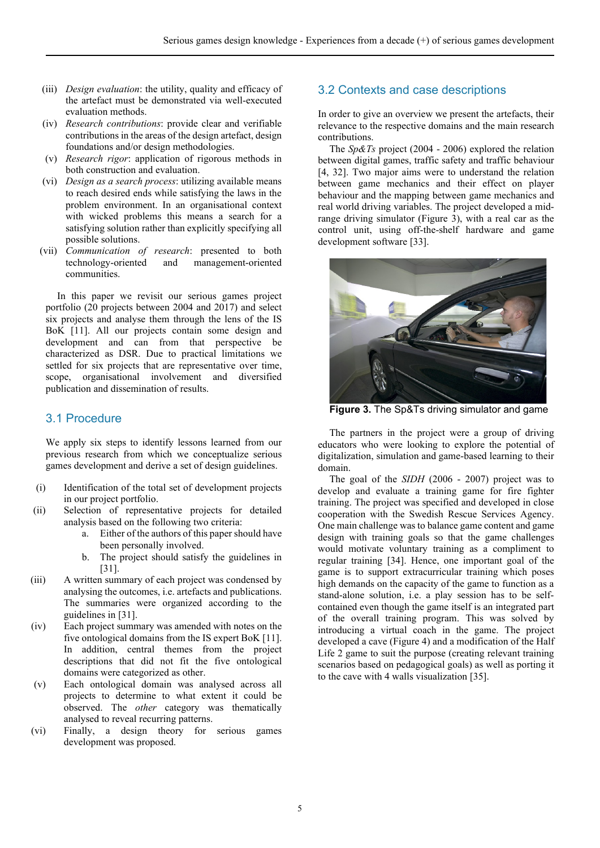- (iii) *Design evaluation*: the utility, quality and efficacy of the artefact must be demonstrated via well-executed evaluation methods.
- (iv) *Research contributions*: provide clear and verifiable contributions in the areas of the design artefact, design foundations and/or design methodologies.
- (v) *Research rigor*: application of rigorous methods in both construction and evaluation.
- (vi) *Design as a search process*: utilizing available means to reach desired ends while satisfying the laws in the problem environment. In an organisational context with wicked problems this means a search for a satisfying solution rather than explicitly specifying all possible solutions.
- (vii) *Communication of research*: presented to both technology-oriented and management-oriented communities.

In this paper we revisit our serious games project portfolio (20 projects between 2004 and 2017) and select six projects and analyse them through the lens of the IS BoK [11]. All our projects contain some design and development and can from that perspective be characterized as DSR. Due to practical limitations we settled for six projects that are representative over time, scope, organisational involvement and diversified publication and dissemination of results.

## 3.1 Procedure

We apply six steps to identify lessons learned from our previous research from which we conceptualize serious games development and derive a set of design guidelines.

- (i) Identification of the total set of development projects in our project portfolio.
- (ii) Selection of representative projects for detailed analysis based on the following two criteria:
	- a. Either of the authors of this paper should have been personally involved.
	- b. The project should satisfy the guidelines in [31].
- (iii) A written summary of each project was condensed by analysing the outcomes, i.e. artefacts and publications. The summaries were organized according to the guidelines in [31].
- (iv) Each project summary was amended with notes on the five ontological domains from the IS expert BoK [11]. In addition, central themes from the project descriptions that did not fit the five ontological domains were categorized as other.
- (v) Each ontological domain was analysed across all projects to determine to what extent it could be observed. The *other* category was thematically analysed to reveal recurring patterns.
- (vi) Finally, a design theory for serious games development was proposed.

#### 3.2 Contexts and case descriptions

In order to give an overview we present the artefacts, their relevance to the respective domains and the main research contributions.

The *Sp&Ts* project (2004 - 2006) explored the relation between digital games, traffic safety and traffic behaviour [4, 32]. Two major aims were to understand the relation between game mechanics and their effect on player behaviour and the mapping between game mechanics and real world driving variables. The project developed a midrange driving simulator (Figure 3), with a real car as the control unit, using off-the-shelf hardware and game development software [33].



**Figure 3.** The Sp&Ts driving simulator and game

The partners in the project were a group of driving educators who were looking to explore the potential of digitalization, simulation and game-based learning to their domain.

The goal of the *SIDH* (2006 - 2007) project was to develop and evaluate a training game for fire fighter training. The project was specified and developed in close cooperation with the Swedish Rescue Services Agency. One main challenge was to balance game content and game design with training goals so that the game challenges would motivate voluntary training as a compliment to regular training [34]. Hence, one important goal of the game is to support extracurricular training which poses high demands on the capacity of the game to function as a stand-alone solution, i.e. a play session has to be selfcontained even though the game itself is an integrated part of the overall training program. This was solved by introducing a virtual coach in the game. The project developed a cave (Figure 4) and a modification of the Half Life 2 game to suit the purpose (creating relevant training scenarios based on pedagogical goals) as well as porting it to the cave with 4 walls visualization [35].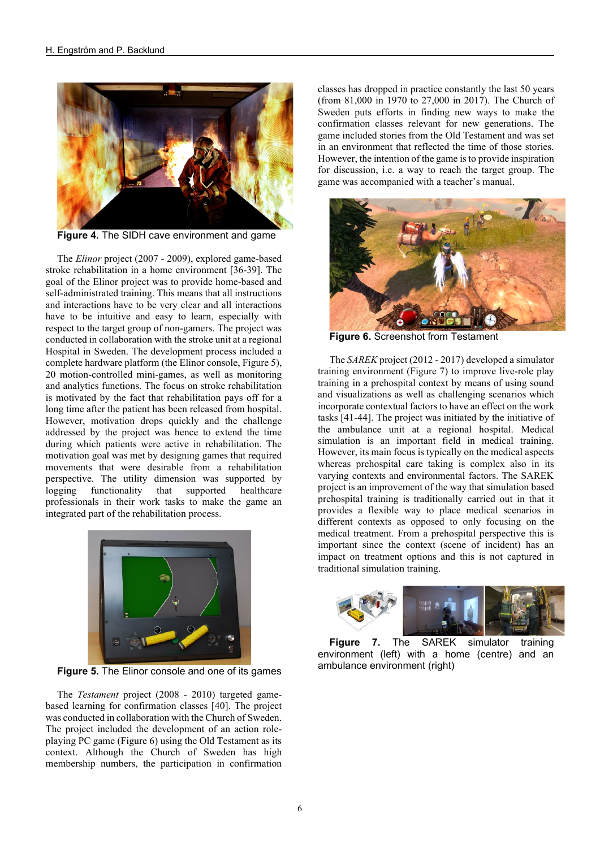

**Figure 4.** The SIDH cave environment and game

The *Elinor* project (2007 - 2009), explored game-based stroke rehabilitation in a home environment [36-39]. The goal of the Elinor project was to provide home-based and self-administrated training. This means that all instructions and interactions have to be very clear and all interactions have to be intuitive and easy to learn, especially with respect to the target group of non-gamers. The project was conducted in collaboration with the stroke unit at a regional Hospital in Sweden. The development process included a complete hardware platform (the Elinor console, Figure 5), 20 motion-controlled mini-games, as well as monitoring and analytics functions. The focus on stroke rehabilitation is motivated by the fact that rehabilitation pays off for a long time after the patient has been released from hospital. However, motivation drops quickly and the challenge addressed by the project was hence to extend the time during which patients were active in rehabilitation. The motivation goal was met by designing games that required movements that were desirable from a rehabilitation perspective. The utility dimension was supported by logging functionality that supported healthcare professionals in their work tasks to make the game an integrated part of the rehabilitation process.



**Figure 5.** The Elinor console and one of its games

The *Testament* project (2008 - 2010) targeted gamebased learning for confirmation classes [40]. The project was conducted in collaboration with the Church of Sweden. The project included the development of an action roleplaying PC game (Figure 6) using the Old Testament as its context. Although the Church of Sweden has high membership numbers, the participation in confirmation

classes has dropped in practice constantly the last 50 years (from 81,000 in 1970 to 27,000 in 2017). The Church of Sweden puts efforts in finding new ways to make the confirmation classes relevant for new generations. The game included stories from the Old Testament and was set in an environment that reflected the time of those stories. However, the intention of the game is to provide inspiration for discussion, i.e. a way to reach the target group. The game was accompanied with a teacher's manual.



**Figure 6.** Screenshot from Testament

The *SAREK* project (2012 - 2017) developed a simulator training environment (Figure 7) to improve live-role play training in a prehospital context by means of using sound and visualizations as well as challenging scenarios which incorporate contextual factors to have an effect on the work tasks [41-44]. The project was initiated by the initiative of the ambulance unit at a regional hospital. Medical simulation is an important field in medical training. However, its main focus is typically on the medical aspects whereas prehospital care taking is complex also in its varying contexts and environmental factors. The SAREK project is an improvement of the way that simulation based prehospital training is traditionally carried out in that it provides a flexible way to place medical scenarios in different contexts as opposed to only focusing on the medical treatment. From a prehospital perspective this is important since the context (scene of incident) has an impact on treatment options and this is not captured in traditional simulation training.



**Figure 7.** The SAREK simulator training environment (left) with a home (centre) and an ambulance environment (right)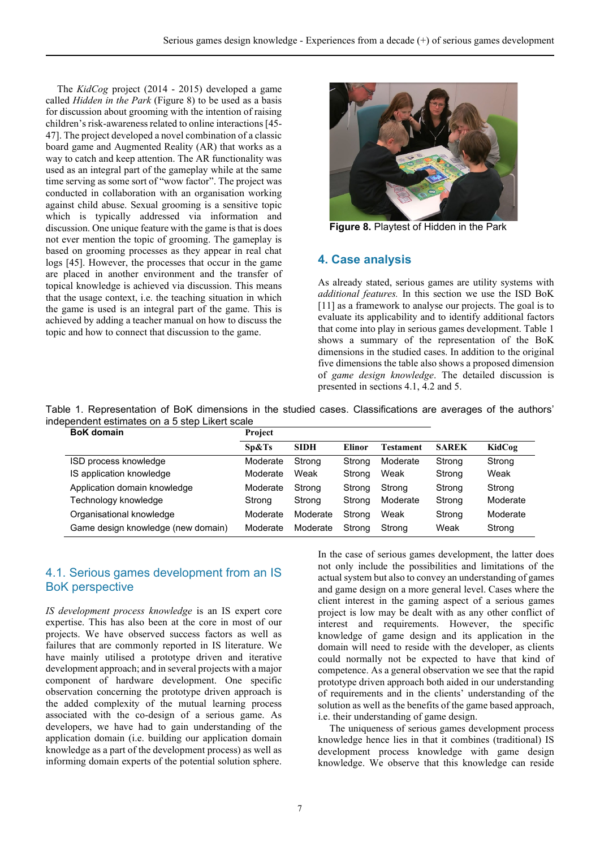The *KidCog* project (2014 - 2015) developed a game called *Hidden in the Park* (Figure 8) to be used as a basis for discussion about grooming with the intention of raising children's risk-awareness related to online interactions [45- 47]. The project developed a novel combination of a classic board game and Augmented Reality (AR) that works as a way to catch and keep attention. The AR functionality was used as an integral part of the gameplay while at the same time serving as some sort of "wow factor". The project was conducted in collaboration with an organisation working against child abuse. Sexual grooming is a sensitive topic which is typically addressed via information and discussion. One unique feature with the game is that is does not ever mention the topic of grooming. The gameplay is based on grooming processes as they appear in real chat logs [45]. However, the processes that occur in the game are placed in another environment and the transfer of topical knowledge is achieved via discussion. This means that the usage context, i.e. the teaching situation in which the game is used is an integral part of the game. This is achieved by adding a teacher manual on how to discuss the topic and how to connect that discussion to the game.



**Figure 8.** Playtest of Hidden in the Park

## **4. Case analysis**

As already stated, serious games are utility systems with *additional features.* In this section we use the ISD BoK [11] as a framework to analyse our projects. The goal is to evaluate its applicability and to identify additional factors that come into play in serious games development. Table 1 shows a summary of the representation of the BoK dimensions in the studied cases. In addition to the original five dimensions the table also shows a proposed dimension of *game design knowledge*. The detailed discussion is presented in sections 4.1, 4.2 and 5.

Table 1. Representation of BoK dimensions in the studied cases. Classifications are averages of the authors' independent estimates on a 5 step Likert scale

| <b>BoK</b> domain                  | Project  |             |        |           |              |          |
|------------------------------------|----------|-------------|--------|-----------|--------------|----------|
|                                    | Sp&Ts    | <b>SIDH</b> | Elinor | Testament | <b>SAREK</b> | KidCog   |
| ISD process knowledge              | Moderate | Strong      | Strona | Moderate  | Strong       | Strong   |
| IS application knowledge           | Moderate | Weak        | Strong | Weak      | Strong       | Weak     |
| Application domain knowledge       | Moderate | Strong      | Strong | Strong    | Strong       | Strong   |
| Technology knowledge               | Strong   | Strong      | Strong | Moderate  | Strong       | Moderate |
| Organisational knowledge           | Moderate | Moderate    | Strona | Weak      | Strong       | Moderate |
| Game design knowledge (new domain) | Moderate | Moderate    | Strong | Strong    | Weak         | Strong   |

## 4.1. Serious games development from an IS BoK perspective

*IS development process knowledge* is an IS expert core expertise. This has also been at the core in most of our projects. We have observed success factors as well as failures that are commonly reported in IS literature. We have mainly utilised a prototype driven and iterative development approach; and in several projects with a major component of hardware development. One specific observation concerning the prototype driven approach is the added complexity of the mutual learning process associated with the co-design of a serious game. As developers, we have had to gain understanding of the application domain (i.e. building our application domain knowledge as a part of the development process) as well as informing domain experts of the potential solution sphere.

In the case of serious games development, the latter does not only include the possibilities and limitations of the actual system but also to convey an understanding of games and game design on a more general level. Cases where the client interest in the gaming aspect of a serious games project is low may be dealt with as any other conflict of interest and requirements. However, the specific knowledge of game design and its application in the domain will need to reside with the developer, as clients could normally not be expected to have that kind of competence. As a general observation we see that the rapid prototype driven approach both aided in our understanding of requirements and in the clients' understanding of the solution as well as the benefits of the game based approach, i.e. their understanding of game design.

The uniqueness of serious games development process knowledge hence lies in that it combines (traditional) IS development process knowledge with game design knowledge. We observe that this knowledge can reside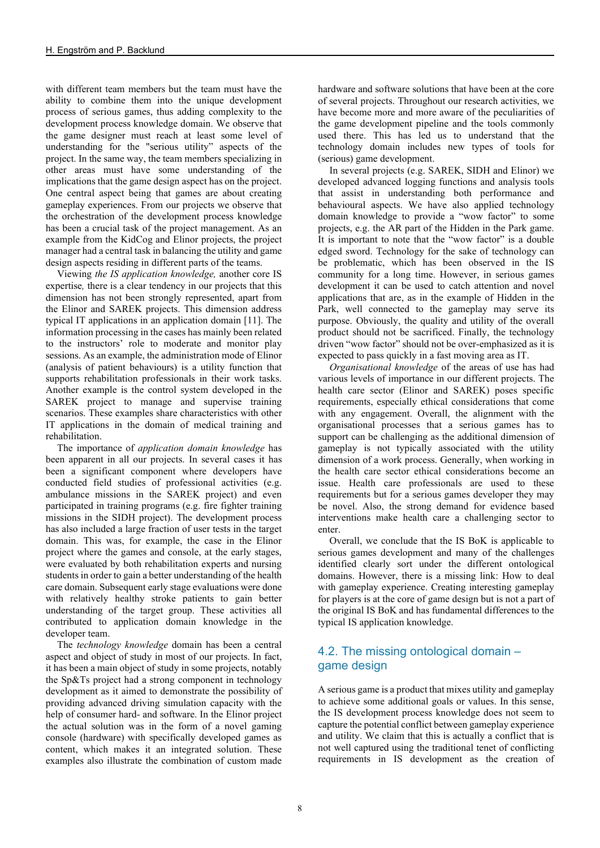with different team members but the team must have the ability to combine them into the unique development process of serious games, thus adding complexity to the development process knowledge domain. We observe that the game designer must reach at least some level of understanding for the "serious utility" aspects of the project. In the same way, the team members specializing in other areas must have some understanding of the implications that the game design aspect has on the project. One central aspect being that games are about creating gameplay experiences. From our projects we observe that the orchestration of the development process knowledge has been a crucial task of the project management. As an example from the KidCog and Elinor projects, the project manager had a central task in balancing the utility and game design aspects residing in different parts of the teams.

Viewing *the IS application knowledge,* another core IS expertise*,* there is a clear tendency in our projects that this dimension has not been strongly represented, apart from the Elinor and SAREK projects. This dimension address typical IT applications in an application domain [11]. The information processing in the cases has mainly been related to the instructors' role to moderate and monitor play sessions. As an example, the administration mode of Elinor (analysis of patient behaviours) is a utility function that supports rehabilitation professionals in their work tasks. Another example is the control system developed in the SAREK project to manage and supervise training scenarios. These examples share characteristics with other IT applications in the domain of medical training and rehabilitation.

The importance of *application domain knowledge* has been apparent in all our projects. In several cases it has been a significant component where developers have conducted field studies of professional activities (e.g. ambulance missions in the SAREK project) and even participated in training programs (e.g. fire fighter training missions in the SIDH project). The development process has also included a large fraction of user tests in the target domain. This was, for example, the case in the Elinor project where the games and console, at the early stages, were evaluated by both rehabilitation experts and nursing students in order to gain a better understanding of the health care domain. Subsequent early stage evaluations were done with relatively healthy stroke patients to gain better understanding of the target group. These activities all contributed to application domain knowledge in the developer team.

The *technology knowledge* domain has been a central aspect and object of study in most of our projects. In fact, it has been a main object of study in some projects, notably the Sp&Ts project had a strong component in technology development as it aimed to demonstrate the possibility of providing advanced driving simulation capacity with the help of consumer hard- and software. In the Elinor project the actual solution was in the form of a novel gaming console (hardware) with specifically developed games as content, which makes it an integrated solution. These examples also illustrate the combination of custom made

hardware and software solutions that have been at the core of several projects. Throughout our research activities, we have become more and more aware of the peculiarities of the game development pipeline and the tools commonly used there. This has led us to understand that the technology domain includes new types of tools for (serious) game development.

In several projects (e.g. SAREK, SIDH and Elinor) we developed advanced logging functions and analysis tools that assist in understanding both performance and behavioural aspects. We have also applied technology domain knowledge to provide a "wow factor" to some projects, e.g. the AR part of the Hidden in the Park game. It is important to note that the "wow factor" is a double edged sword. Technology for the sake of technology can be problematic, which has been observed in the IS community for a long time. However, in serious games development it can be used to catch attention and novel applications that are, as in the example of Hidden in the Park, well connected to the gameplay may serve its purpose. Obviously, the quality and utility of the overall product should not be sacrificed. Finally, the technology driven "wow factor" should not be over-emphasized as it is expected to pass quickly in a fast moving area as IT.

*Organisational knowledge* of the areas of use has had various levels of importance in our different projects. The health care sector (Elinor and SAREK) poses specific requirements, especially ethical considerations that come with any engagement. Overall, the alignment with the organisational processes that a serious games has to support can be challenging as the additional dimension of gameplay is not typically associated with the utility dimension of a work process. Generally, when working in the health care sector ethical considerations become an issue. Health care professionals are used to these requirements but for a serious games developer they may be novel. Also, the strong demand for evidence based interventions make health care a challenging sector to enter.

Overall, we conclude that the IS BoK is applicable to serious games development and many of the challenges identified clearly sort under the different ontological domains. However, there is a missing link: How to deal with gameplay experience. Creating interesting gameplay for players is at the core of game design but is not a part of the original IS BoK and has fundamental differences to the typical IS application knowledge.

# 4.2. The missing ontological domain – game design

A serious game is a product that mixes utility and gameplay to achieve some additional goals or values. In this sense, the IS development process knowledge does not seem to capture the potential conflict between gameplay experience and utility. We claim that this is actually a conflict that is not well captured using the traditional tenet of conflicting requirements in IS development as the creation of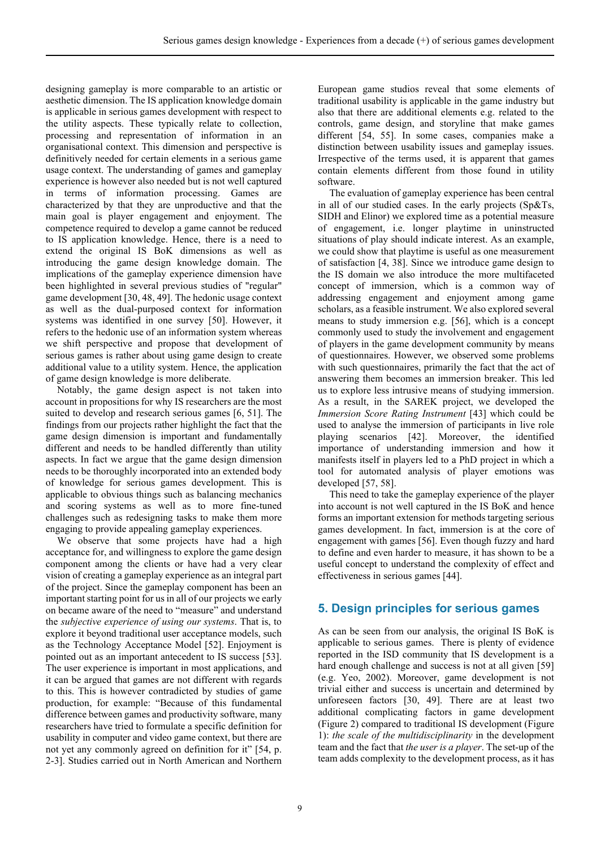designing gameplay is more comparable to an artistic or aesthetic dimension. The IS application knowledge domain is applicable in serious games development with respect to the utility aspects. These typically relate to collection, processing and representation of information in an organisational context. This dimension and perspective is definitively needed for certain elements in a serious game usage context. The understanding of games and gameplay experience is however also needed but is not well captured in terms of information processing. Games are characterized by that they are unproductive and that the main goal is player engagement and enjoyment. The competence required to develop a game cannot be reduced to IS application knowledge. Hence, there is a need to extend the original IS BoK dimensions as well as introducing the game design knowledge domain. The implications of the gameplay experience dimension have been highlighted in several previous studies of "regular" game development [30, 48, 49]. The hedonic usage context as well as the dual-purposed context for information systems was identified in one survey [50]. However, it refers to the hedonic use of an information system whereas we shift perspective and propose that development of serious games is rather about using game design to create additional value to a utility system. Hence, the application of game design knowledge is more deliberate.

Notably, the game design aspect is not taken into account in propositions for why IS researchers are the most suited to develop and research serious games [6, 51]. The findings from our projects rather highlight the fact that the game design dimension is important and fundamentally different and needs to be handled differently than utility aspects. In fact we argue that the game design dimension needs to be thoroughly incorporated into an extended body of knowledge for serious games development. This is applicable to obvious things such as balancing mechanics and scoring systems as well as to more fine-tuned challenges such as redesigning tasks to make them more engaging to provide appealing gameplay experiences.

We observe that some projects have had a high acceptance for, and willingness to explore the game design component among the clients or have had a very clear vision of creating a gameplay experience as an integral part of the project. Since the gameplay component has been an important starting point for us in all of our projects we early on became aware of the need to "measure" and understand the *subjective experience of using our systems*. That is, to explore it beyond traditional user acceptance models, such as the Technology Acceptance Model [52]. Enjoyment is pointed out as an important antecedent to IS success [53]. The user experience is important in most applications, and it can be argued that games are not different with regards to this. This is however contradicted by studies of game production, for example: "Because of this fundamental difference between games and productivity software, many researchers have tried to formulate a specific definition for usability in computer and video game context, but there are not yet any commonly agreed on definition for it" [54, p. 2-3]. Studies carried out in North American and Northern

European game studios reveal that some elements of traditional usability is applicable in the game industry but also that there are additional elements e.g. related to the controls, game design, and storyline that make games different [54, 55]. In some cases, companies make a distinction between usability issues and gameplay issues. Irrespective of the terms used, it is apparent that games contain elements different from those found in utility software.

The evaluation of gameplay experience has been central in all of our studied cases. In the early projects (Sp&Ts, SIDH and Elinor) we explored time as a potential measure of engagement, i.e. longer playtime in uninstructed situations of play should indicate interest. As an example, we could show that playtime is useful as one measurement of satisfaction [4, 38]. Since we introduce game design to the IS domain we also introduce the more multifaceted concept of immersion, which is a common way of addressing engagement and enjoyment among game scholars, as a feasible instrument. We also explored several means to study immersion e.g. [56], which is a concept commonly used to study the involvement and engagement of players in the game development community by means of questionnaires. However, we observed some problems with such questionnaires, primarily the fact that the act of answering them becomes an immersion breaker. This led us to explore less intrusive means of studying immersion. As a result, in the SAREK project, we developed the *Immersion Score Rating Instrument* [43] which could be used to analyse the immersion of participants in live role playing scenarios [42]. Moreover, the identified importance of understanding immersion and how it manifests itself in players led to a PhD project in which a tool for automated analysis of player emotions was developed [57, 58].

This need to take the gameplay experience of the player into account is not well captured in the IS BoK and hence forms an important extension for methods targeting serious games development. In fact, immersion is at the core of engagement with games [56]. Even though fuzzy and hard to define and even harder to measure, it has shown to be a useful concept to understand the complexity of effect and effectiveness in serious games [44].

#### **5. Design principles for serious games**

As can be seen from our analysis, the original IS BoK is applicable to serious games. There is plenty of evidence reported in the ISD community that IS development is a hard enough challenge and success is not at all given [59] (e.g. Yeo, 2002). Moreover, game development is not trivial either and success is uncertain and determined by unforeseen factors [30, 49]. There are at least two additional complicating factors in game development (Figure 2) compared to traditional IS development (Figure 1): *the scale of the multidisciplinarity* in the development team and the fact that *the user is a player*. The set-up of the team adds complexity to the development process, as it has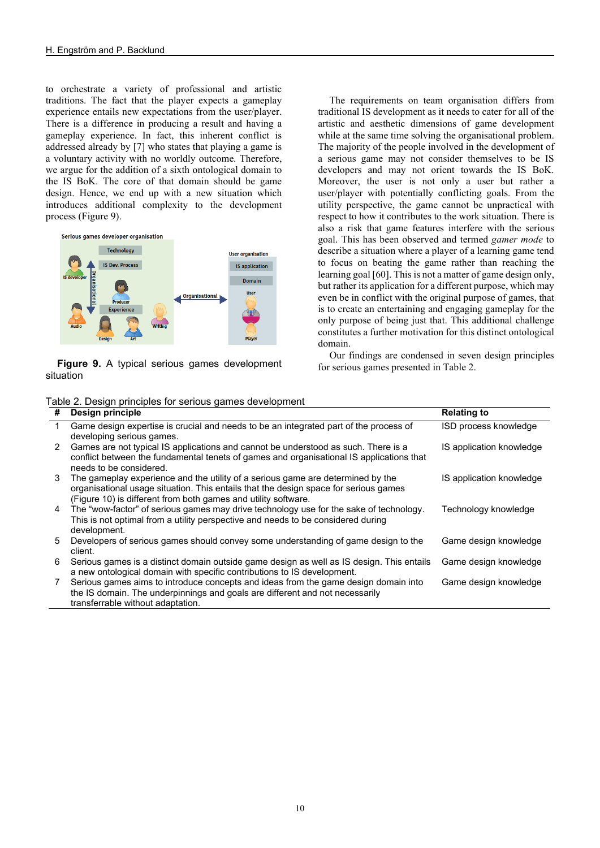to orchestrate a variety of professional and artistic traditions. The fact that the player expects a gameplay experience entails new expectations from the user/player. There is a difference in producing a result and having a gameplay experience. In fact, this inherent conflict is addressed already by [7] who states that playing a game is a voluntary activity with no worldly outcome. Therefore, we argue for the addition of a sixth ontological domain to the IS BoK. The core of that domain should be game design. Hence, we end up with a new situation which introduces additional complexity to the development process (Figure 9).



**Figure 9.** A typical serious games development situation

The requirements on team organisation differs from traditional IS development as it needs to cater for all of the artistic and aesthetic dimensions of game development while at the same time solving the organisational problem. The majority of the people involved in the development of a serious game may not consider themselves to be IS developers and may not orient towards the IS BoK. Moreover, the user is not only a user but rather a user/player with potentially conflicting goals. From the utility perspective, the game cannot be unpractical with respect to how it contributes to the work situation. There is also a risk that game features interfere with the serious goal. This has been observed and termed *gamer mode* to describe a situation where a player of a learning game tend to focus on beating the game rather than reaching the learning goal [60]. This is not a matter of game design only, but rather its application for a different purpose, which may even be in conflict with the original purpose of games, that is to create an entertaining and engaging gameplay for the only purpose of being just that. This additional challenge constitutes a further motivation for this distinct ontological domain.

Our findings are condensed in seven design principles for serious games presented in Table 2.

| #  | Design principle                                                                          | <b>Relating to</b>       |
|----|-------------------------------------------------------------------------------------------|--------------------------|
|    | Game design expertise is crucial and needs to be an integrated part of the process of     | ISD process knowledge    |
|    | developing serious games.                                                                 |                          |
| 2  | Games are not typical IS applications and cannot be understood as such. There is a        | IS application knowledge |
|    | conflict between the fundamental tenets of games and organisational IS applications that  |                          |
|    | needs to be considered.                                                                   |                          |
| 3  | The gameplay experience and the utility of a serious game are determined by the           | IS application knowledge |
|    | organisational usage situation. This entails that the design space for serious games      |                          |
|    | (Figure 10) is different from both games and utility software.                            |                          |
| 4  | The "wow-factor" of serious games may drive technology use for the sake of technology.    | Technology knowledge     |
|    | This is not optimal from a utility perspective and needs to be considered during          |                          |
|    | development.                                                                              |                          |
| 5. | Developers of serious games should convey some understanding of game design to the        | Game design knowledge    |
|    | client.                                                                                   |                          |
| 6  | Serious games is a distinct domain outside game design as well as IS design. This entails | Game design knowledge    |
|    | a new ontological domain with specific contributions to IS development.                   |                          |
| 7  | Serious games aims to introduce concepts and ideas from the game design domain into       | Game design knowledge    |
|    | the IS domain. The underpinnings and goals are different and not necessarily              |                          |
|    | transferrable without adaptation.                                                         |                          |

Table 2. Design principles for serious games development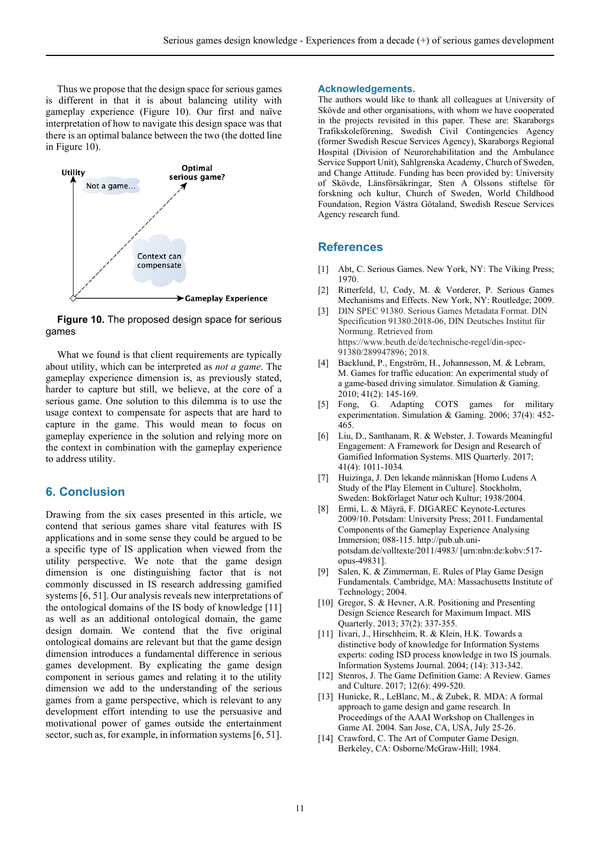Thus we propose that the design space for serious games is different in that it is about balancing utility with gameplay experience (Figure 10). Our first and naïve interpretation of how to navigate this design space was that there is an optimal balance between the two (the dotted line in Figure 10).



**Figure 10.** The proposed design space for serious games

What we found is that client requirements are typically about utility, which can be interpreted as *not a game*. The gameplay experience dimension is, as previously stated, harder to capture but still, we believe, at the core of a serious game. One solution to this dilemma is to use the usage context to compensate for aspects that are hard to capture in the game. This would mean to focus on gameplay experience in the solution and relying more on the context in combination with the gameplay experience to address utility.

#### **6. Conclusion**

Drawing from the six cases presented in this article, we contend that serious games share vital features with IS applications and in some sense they could be argued to be a specific type of IS application when viewed from the utility perspective. We note that the game design dimension is one distinguishing factor that is not commonly discussed in IS research addressing gamified systems [6, 51]. Our analysis reveals new interpretations of the ontological domains of the IS body of knowledge [11] as well as an additional ontological domain, the game design domain. We contend that the five original ontological domains are relevant but that the game design dimension introduces a fundamental difference in serious games development. By explicating the game design component in serious games and relating it to the utility dimension we add to the understanding of the serious games from a game perspective, which is relevant to any development effort intending to use the persuasive and motivational power of games outside the entertainment sector, such as, for example, in information systems [6, 51].

#### **Acknowledgements.**

The authors would like to thank all colleagues at University of Skövde and other organisations, with whom we have cooperated in the projects revisited in this paper. These are: Skaraborgs Trafikskoleförening, Swedish Civil Contingencies Agency (former Swedish Rescue Services Agency), Skaraborgs Regional Hospital (Division of Neurorehabilitation and the Ambulance Service Support Unit), Sahlgrenska Academy, Church of Sweden, and Change Attitude. Funding has been provided by: University of Skövde, Länsförsäkringar, Sten A Olssons stiftelse för forskning och kultur, Church of Sweden, World Childhood Foundation, Region Västra Götaland, Swedish Rescue Services Agency research fund.

#### **References**

- [1] Abt, C. Serious Games. New York, NY: The Viking Press; 1970.
- [2] Ritterfeld, U, Cody, M. & Vorderer, P. Serious Games Mechanisms and Effects. New York, NY: Routledge; 2009.
- [3] DIN SPEC 91380. Serious Games Metadata Format. DIN Specification 91380:2018-06, DIN Deutsches Institut für Normung. Retrieved from https://www.beuth.de/de/technische-regel/din-spec-91380/289947896; 2018.
- [4] Backlund, P., Engström, H., Johannesson, M. & Lebram, M. Games for traffic education: An experimental study of a game-based driving simulator. Simulation & Gaming. 2010; 41(2): 145-169.
- [5] Fong, G. Adapting COTS games for military experimentation. Simulation & Gaming. 2006; 37(4): 452- 465.
- [6] Liu, D., Santhanam, R. & Webster, J. Towards Meaningful Engagement: A Framework for Design and Research of Gamified Information Systems. MIS Quarterly. 2017; 41(4): 1011-1034*.*
- [7] Huizinga, J. Den lekande människan [Homo Ludens A Study of the Play Element in Culture]. Stockholm, Sweden: Bokförlaget Natur och Kultur; 1938/2004.
- [8] Ermi, L. & Mäyrä, F. DIGAREC Keynote-Lectures 2009/10. Potsdam: University Press; 2011. Fundamental Components of the Gameplay Experience Analysing Immersion; 088-115. http://pub.ub.unipotsdam.de/volltexte/2011/4983/ [urn:nbn:de:kobv:517 opus-49831].
- [9] Salen, K. & Zimmerman, E. Rules of Play Game Design Fundamentals. Cambridge, MA: Massachusetts Institute of Technology; 2004.
- [10] Gregor, S. & Hevner, A.R. Positioning and Presenting Design Science Research for Maximum Impact. MIS Quarterly. 2013; 37(2): 337-355.
- [11] Iivari, J., Hirschheim, R. & Klein, H.K. Towards a distinctive body of knowledge for Information Systems experts: coding ISD process knowledge in two IS journals. Information Systems Journal. 2004; (14): 313-342.
- [12] Stenros, J. The Game Definition Game: A Review. Games and Culture. 2017; 12(6): 499-520.
- [13] Hunicke, R., LeBlanc, M., & Zubek, R*.* MDA: A formal approach to game design and game research. In Proceedings of the AAAI Workshop on Challenges in Game AI. 2004. San Jose, CA, USA, July 25-26.
- [14] Crawford, C. The Art of Computer Game Design. Berkeley, CA: Osborne/McGraw-Hill; 1984.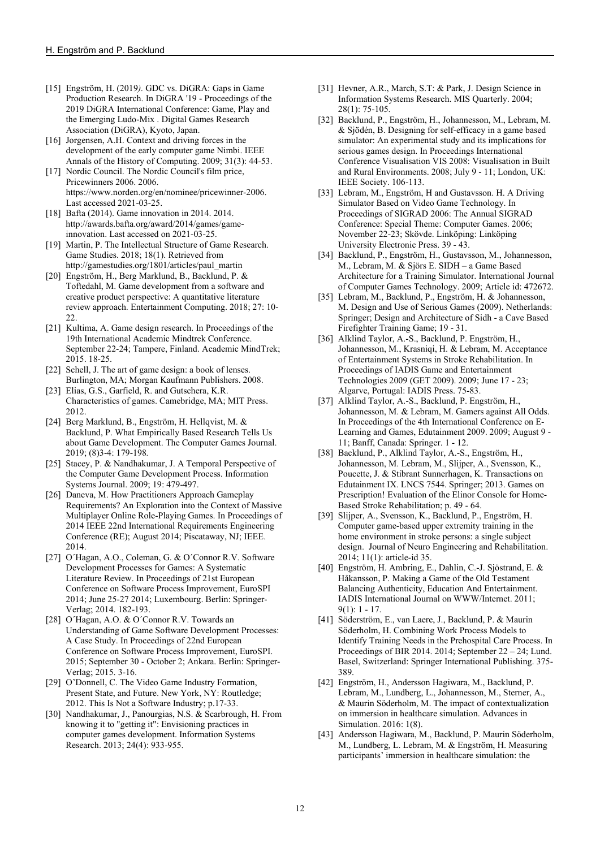- [15] Engström, H. (2019*).* GDC vs. DiGRA: Gaps in Game Production Research. In DiGRA '19 - Proceedings of the 2019 DiGRA International Conference: Game, Play and the Emerging Ludo-Mix . Digital Games Research Association (DiGRA), Kyoto, Japan.
- [16] Jorgensen, A.H. Context and driving forces in the development of the early computer game Nimbi. IEEE Annals of the History of Computing. 2009; 31(3): 44-53.
- [17] Nordic Council. The Nordic Council's film price, Pricewinners 2006. 2006. https://www.norden.org/en/nominee/pricewinner-2006. Last accessed 2021-03-25.
- [18] Bafta (2014). Game innovation in 2014. 2014. http://awards.bafta.org/award/2014/games/gameinnovation. Last accessed on 2021-03-25.
- [19] Martin, P. The Intellectual Structure of Game Research. Game Studies. 2018; 18(1). Retrieved from http://gamestudies.org/1801/articles/paul\_martin
- [20] Engström, H., Berg Marklund, B., Backlund, P. & Toftedahl, M. Game development from a software and creative product perspective: A quantitative literature review approach. Entertainment Computing. 2018; 27: 10-  $22.$
- [21] Kultima, A. Game design research. In Proceedings of the 19th International Academic Mindtrek Conference. September 22-24; Tampere, Finland. Academic MindTrek; 2015. 18-25.
- [22] Schell, J. The art of game design: a book of lenses. Burlington, MA; Morgan Kaufmann Publishers. 2008.
- [23] Elias, G.S., Garfield, R. and Gutschera, K.R. Characteristics of games. Camebridge, MA; MIT Press. 2012.
- [24] Berg Marklund, B., Engström, H. Hellqvist, M. & Backlund, P. What Empirically Based Research Tells Us about Game Development. The Computer Games Journal. 2019; (8)3-4: 179-198*.*
- [25] Stacey, P. & Nandhakumar, J. A Temporal Perspective of the Computer Game Development Process. Information Systems Journal. 2009; 19: 479-497.
- [26] Daneva, M. How Practitioners Approach Gameplay Requirements? An Exploration into the Context of Massive Multiplayer Online Role-Playing Games. In Proceedings of 2014 IEEE 22nd International Requirements Engineering Conference (RE); August 2014; Piscataway, NJ; IEEE. 2014.
- [27] O´Hagan, A.O., Coleman, G. & O´Connor R.V. Software Development Processes for Games: A Systematic Literature Review. In Proceedings of 21st European Conference on Software Process Improvement, EuroSPI 2014; June 25-27 2014; Luxembourg. Berlin: Springer-Verlag; 2014. 182-193.
- [28] O´Hagan, A.O. & O´Connor R.V. Towards an Understanding of Game Software Development Processes: A Case Study. In Proceedings of 22nd European Conference on Software Process Improvement, EuroSPI. 2015; September 30 - October 2; Ankara. Berlin: Springer-Verlag; 2015. 3-16.
- [29] O'Donnell, C. The Video Game Industry Formation, Present State, and Future. New York, NY: Routledge; 2012. This Is Not a Software Industry; p.17-33.
- [30] Nandhakumar, J., Panourgias, N.S. & Scarbrough, H. From knowing it to "getting it": Envisioning practices in computer games development. Information Systems Research. 2013; 24(4): 933-955.
- [31] Hevner, A.R., March, S.T: & Park, J. Design Science in Information Systems Research. MIS Quarterly. 2004; 28(1): 75-105.
- [32] Backlund, P., Engström, H., Johannesson, M., Lebram, M. & Sjödén, B. Designing for self-efficacy in a game based simulator: An experimental study and its implications for serious games design. In Proceedings International Conference Visualisation VIS 2008: Visualisation in Built and Rural Environments. 2008; July 9 - 11; London, UK: IEEE Society. 106-113.
- [33] Lebram, M., Engström, H and Gustavsson. H. A Driving Simulator Based on Video Game Technology. In Proceedings of SIGRAD 2006: The Annual SIGRAD Conference: Special Theme: Computer Games. 2006; November 22-23; Skövde. Linköping: Linköping University Electronic Press. 39 - 43.
- [34] Backlund, P., Engström, H., Gustavsson, M., Johannesson, M., Lebram, M. & Sjörs E. SIDH – a Game Based Architecture for a Training Simulator. International Journal of Computer Games Technology. 2009; Article id: 472672.
- [35] Lebram, M., Backlund, P., Engström, H. & Johannesson, M. Design and Use of Serious Games (2009). Netherlands: Springer; Design and Architecture of Sidh - a Cave Based Firefighter Training Game; 19 - 31.
- [36] Alklind Taylor, A.-S., Backlund, P. Engström, H., Johannesson, M., Krasniqi, H. & Lebram, M. Acceptance of Entertainment Systems in Stroke Rehabilitation. In Proceedings of IADIS Game and Entertainment Technologies 2009 (GET 2009). 2009; June 17 - 23; Algarve, Portugal: IADIS Press. 75-83.
- [37] Alklind Taylor, A.-S., Backlund, P. Engström, H., Johannesson, M. & Lebram, M. Gamers against All Odds. In Proceedings of the 4th International Conference on E-Learning and Games, Edutainment 2009. 2009; August 9 - 11; Banff, Canada: Springer. 1 - 12.
- [38] Backlund, P., Alklind Taylor, A.-S., Engström, H., Johannesson, M. Lebram, M., Slijper, A., Svensson, K., Poucette, J. & Stibrant Sunnerhagen, K. Transactions on Edutainment IX. LNCS 7544. Springer; 2013. Games on Prescription! Evaluation of the Elinor Console for Home-Based Stroke Rehabilitation; p. 49 - 64.
- [39] Slijper, A., Svensson, K., Backlund, P., Engström, H. Computer game-based upper extremity training in the home environment in stroke persons: a single subject design. Journal of Neuro Engineering and Rehabilitation. 2014; 11(1): article-id 35.
- [40] Engström, H. Ambring, E., Dahlin, C.-J. Sjöstrand, E. & Håkansson, P. Making a Game of the Old Testament Balancing Authenticity, Education And Entertainment. IADIS International Journal on WWW/Internet. 2011; 9(1): 1 - 17.
- [41] Söderström, E., van Laere, J., Backlund, P. & Maurin Söderholm, H. Combining Work Process Models to Identify Training Needs in the Prehospital Care Process. In Proceedings of BIR 2014. 2014; September 22 – 24; Lund. Basel, Switzerland: Springer International Publishing. 375- 389.
- [42] Engström, H., Andersson Hagiwara, M., Backlund, P. Lebram, M., Lundberg, L., Johannesson, M., Sterner, A., & Maurin Söderholm, M. The impact of contextualization on immersion in healthcare simulation. Advances in Simulation. 2016: 1(8).
- [43] Andersson Hagiwara, M., Backlund, P. Maurin Söderholm, M., Lundberg, L. Lebram, M. & Engström, H. Measuring participants' immersion in healthcare simulation: the